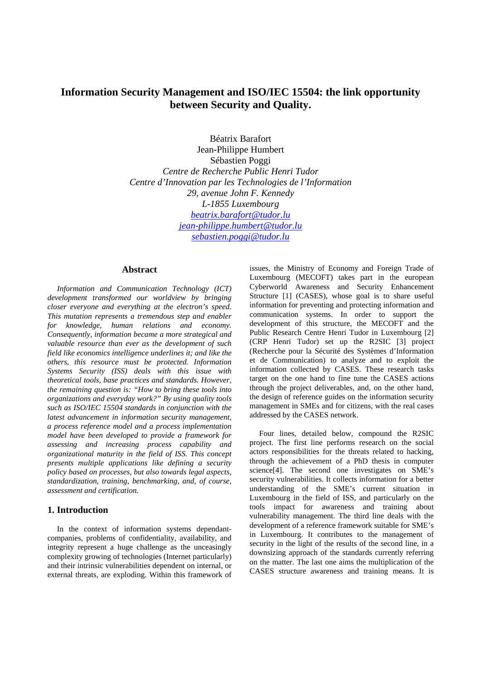# **Information Security Management and ISO/IEC 15504: the link opportunity between Security and Quality.**

Béatrix Barafort Jean-Philippe Humbert Sébastien Poggi *Centre de Recherche Public Henri Tudor Centre d'Innovation par les Technologies de l'Information 29, avenue John F. Kennedy L-1855 Luxembourg beatrix.barafort@tudor.lu jean-philippe.humbert@tudor.lu sebastien.poggi@tudor.lu*

# **Abstract**

*Information and Communication Technology (ICT) development transformed our worldview by bringing closer everyone and everything at the electron's speed. This mutation represents a tremendous step and enabler for knowledge, human relations and economy. Consequently, information became a more strategical and valuable resource than ever as the development of such field like economics intelligence underlines it; and like the others, this resource must be protected. Information Systems Security (ISS) deals with this issue with theoretical tools, base practices and standards. However, the remaining question is: "How to bring these tools into organizations and everyday work?" By using quality tools such as ISO/IEC 15504 standards in conjunction with the latest advancement in information security management, a process reference model and a process implementation model have been developed to provide a framework for assessing and increasing process capability and organizational maturity in the field of ISS. This concept presents multiple applications like defining a security policy based on processes, but also towards legal aspects, standardization, training, benchmarking, and, of course, assessment and certification.* 

# **1. Introduction**

In the context of information systems dependantcompanies, problems of confidentiality, availability, and integrity represent a huge challenge as the unceasingly complexity growing of technologies (Internet particularly) and their intrinsic vulnerabilities dependent on internal, or external threats, are exploding. Within this framework of issues, the Ministry of Economy and Foreign Trade of Luxembourg (MECOFT) takes part in the european Cyberworld Awareness and Security Enhancement Structure [1] (CASES), whose goal is to share useful information for preventing and protecting information and communication systems. In order to support the development of this structure, the MECOFT and the Public Research Centre Henri Tudor in Luxembourg [2] (CRP Henri Tudor) set up the R2SIC [3] project (Recherche pour la Sécurité des Systèmes d'Information et de Communication) to analyze and to exploit the information collected by CASES. These research tasks target on the one hand to fine tune the CASES actions through the project deliverables, and, on the other hand, the design of reference guides on the information security management in SMEs and for citizens, with the real cases addressed by the CASES network.

Four lines, detailed below, compound the R2SIC project. The first line performs research on the social actors responsibilities for the threats related to hacking, through the achievement of a PhD thesis in computer science[4]. The second one investigates on SME's security vulnerabilities. It collects information for a better understanding of the SME's current situation in Luxembourg in the field of ISS, and particularly on the tools impact for awareness and training about vulnerability management. The third line deals with the development of a reference framework suitable for SME's in Luxembourg. It contributes to the management of security in the light of the results of the second line, in a downsizing approach of the standards currently referring on the matter. The last one aims the multiplication of the CASES structure awareness and training means. It is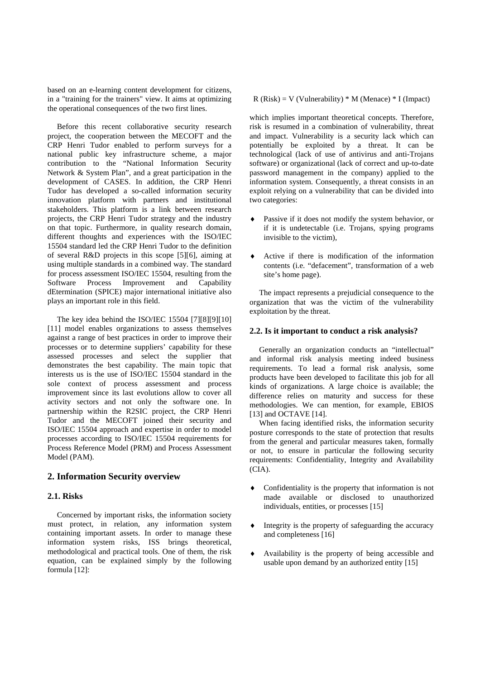based on an e-learning content development for citizens, in a "training for the trainers" view. It aims at optimizing the operational consequences of the two first lines.

Before this recent collaborative security research project, the cooperation between the MECOFT and the CRP Henri Tudor enabled to perform surveys for a national public key infrastructure scheme, a major contribution to the "National Information Security Network & System Plan", and a great participation in the development of CASES. In addition, the CRP Henri Tudor has developed a so-called information security innovation platform with partners and institutional stakeholders. This platform is a link between research projects, the CRP Henri Tudor strategy and the industry on that topic. Furthermore, in quality research domain, different thoughts and experiences with the ISO/IEC 15504 standard led the CRP Henri Tudor to the definition of several R&D projects in this scope [5][6], aiming at using multiple standards in a combined way. The standard for process assessment ISO/IEC 15504, resulting from the Software Process Improvement and Capability dEtermination (SPICE) major international initiative also plays an important role in this field.

The key idea behind the ISO/IEC 15504 [7][8][9][10] [11] model enables organizations to assess themselves against a range of best practices in order to improve their processes or to determine suppliers' capability for these assessed processes and select the supplier that demonstrates the best capability. The main topic that interests us is the use of ISO/IEC 15504 standard in the sole context of process assessment and process improvement since its last evolutions allow to cover all activity sectors and not only the software one. In partnership within the R2SIC project, the CRP Henri Tudor and the MECOFT joined their security and ISO/IEC 15504 approach and expertise in order to model processes according to ISO/IEC 15504 requirements for Process Reference Model (PRM) and Process Assessment Model (PAM).

## **2. Information Security overview**

### **2.1. Risks**

Concerned by important risks, the information society must protect, in relation, any information system containing important assets. In order to manage these information system risks, ISS brings theoretical, methodological and practical tools. One of them, the risk equation, can be explained simply by the following formula [12]:

 $R(Risk) = V (Vulnerability) * M (Menace) * I (Import)$ 

which implies important theoretical concepts. Therefore, risk is resumed in a combination of vulnerability, threat and impact. Vulnerability is a security lack which can potentially be exploited by a threat. It can be technological (lack of use of antivirus and anti-Trojans software) or organizational (lack of correct and up-to-date password management in the company) applied to the information system. Consequently, a threat consists in an exploit relying on a vulnerability that can be divided into two categories:

- Passive if it does not modify the system behavior, or if it is undetectable (i.e. Trojans, spying programs invisible to the victim),
- ♦ Active if there is modification of the information contents (i.e. "defacement", transformation of a web site's home page).

The impact represents a prejudicial consequence to the organization that was the victim of the vulnerability exploitation by the threat.

### **2.2. Is it important to conduct a risk analysis?**

Generally an organization conducts an "intellectual" and informal risk analysis meeting indeed business requirements. To lead a formal risk analysis, some products have been developed to facilitate this job for all kinds of organizations. A large choice is available; the difference relies on maturity and success for these methodologies. We can mention, for example, EBIOS [13] and OCTAVE [14].

When facing identified risks, the information security posture corresponds to the state of protection that results from the general and particular measures taken, formally or not, to ensure in particular the following security requirements: Confidentiality, Integrity and Availability (CIA).

- Confidentiality is the property that information is not made available or disclosed to unauthorized individuals, entities, or processes [15]
- Integrity is the property of safeguarding the accuracy and completeness [16]
- ♦ Availability is the property of being accessible and usable upon demand by an authorized entity [15]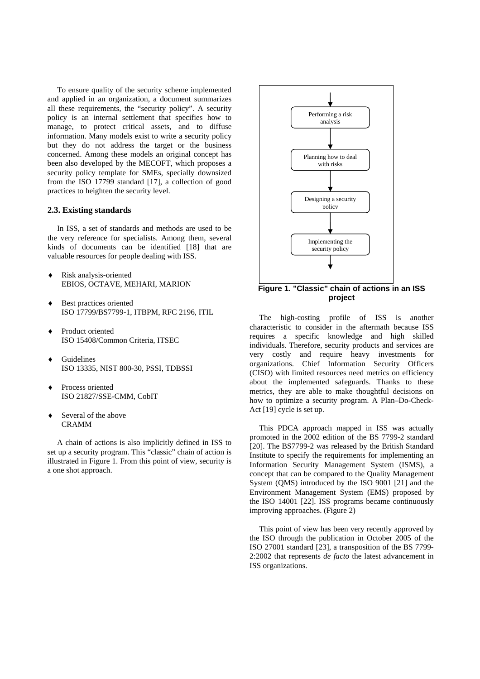To ensure quality of the security scheme implemented and applied in an organization, a document summarizes all these requirements, the "security policy". A security policy is an internal settlement that specifies how to manage, to protect critical assets, and to diffuse information. Many models exist to write a security policy but they do not address the target or the business concerned. Among these models an original concept has been also developed by the MECOFT, which proposes a security policy template for SMEs, specially downsized from the ISO 17799 standard [17], a collection of good practices to heighten the security level.

#### **2.3. Existing standards**

In ISS, a set of standards and methods are used to be the very reference for specialists. Among them, several kinds of documents can be identified [18] that are valuable resources for people dealing with ISS.

- ♦ Risk analysis-oriented EBIOS, OCTAVE, MEHARI, MARION
- ♦ Best practices oriented ISO 17799/BS7799-1, ITBPM, RFC 2196, ITIL
- ♦ Product oriented ISO 15408/Common Criteria, ITSEC
- ♦ Guidelines ISO 13335, NIST 800-30, PSSI, TDBSSI
- Process oriented ISO 21827/SSE-CMM, CobIT
- Several of the above CRAMM

A chain of actions is also implicitly defined in ISS to set up a security program. This "classic" chain of action is illustrated in Figure 1. From this point of view, security is a one shot approach.



**Figure 1. "Classic" chain of actions in an ISS project** 

The high-costing profile of ISS is another characteristic to consider in the aftermath because ISS requires a specific knowledge and high skilled individuals. Therefore, security products and services are very costly and require heavy investments for organizations. Chief Information Security Officers (CISO) with limited resources need metrics on efficiency about the implemented safeguards. Thanks to these metrics, they are able to make thoughtful decisions on how to optimize a security program. A Plan–Do-Check-Act [19] cycle is set up.

This PDCA approach mapped in ISS was actually promoted in the 2002 edition of the BS 7799-2 standard [20]. The BS7799-2 was released by the British Standard Institute to specify the requirements for implementing an Information Security Management System (ISMS), a concept that can be compared to the Quality Management System (QMS) introduced by the ISO 9001 [21] and the Environment Management System (EMS) proposed by the ISO 14001 [22]. ISS programs became continuously improving approaches. (Figure 2)

This point of view has been very recently approved by the ISO through the publication in October 2005 of the ISO 27001 standard [23], a transposition of the BS 7799- 2:2002 that represents *de facto* the latest advancement in ISS organizations.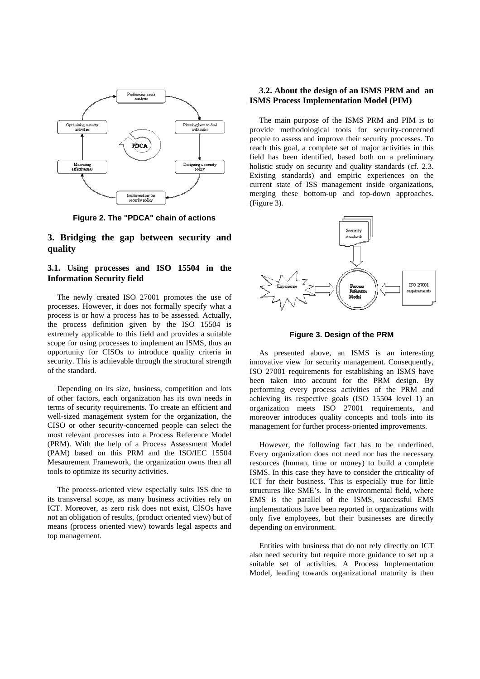

**Figure 2. The "PDCA" chain of actions** 

# **3. Bridging the gap between security and quality**

# **3.1. Using processes and ISO 15504 in the Information Security field**

The newly created ISO 27001 promotes the use of processes. However, it does not formally specify what a process is or how a process has to be assessed. Actually, the process definition given by the ISO 15504 is extremely applicable to this field and provides a suitable scope for using processes to implement an ISMS, thus an opportunity for CISOs to introduce quality criteria in security. This is achievable through the structural strength of the standard.

Depending on its size, business, competition and lots of other factors, each organization has its own needs in terms of security requirements. To create an efficient and well-sized management system for the organization, the CISO or other security-concerned people can select the most relevant processes into a Process Reference Model (PRM). With the help of a Process Assessment Model (PAM) based on this PRM and the ISO/IEC 15504 Mesaurement Framework, the organization owns then all tools to optimize its security activities.

The process-oriented view especially suits ISS due to its transversal scope, as many business activities rely on ICT. Moreover, as zero risk does not exist, CISOs have not an obligation of results, (product oriented view) but of means (process oriented view) towards legal aspects and top management.

### **3.2. About the design of an ISMS PRM and an ISMS Process Implementation Model (PIM)**

The main purpose of the ISMS PRM and PIM is to provide methodological tools for security-concerned people to assess and improve their security processes. To reach this goal, a complete set of major activities in this field has been identified, based both on a preliminary holistic study on security and quality standards (cf. 2.3. Existing standards) and empiric experiences on the current state of ISS management inside organizations, merging these bottom-up and top-down approaches. (Figure 3).



**Figure 3. Design of the PRM** 

As presented above, an ISMS is an interesting innovative view for security management. Consequently, ISO 27001 requirements for establishing an ISMS have been taken into account for the PRM design. By performing every process activities of the PRM and achieving its respective goals (ISO 15504 level 1) an organization meets ISO 27001 requirements, and moreover introduces quality concepts and tools into its management for further process-oriented improvements.

However, the following fact has to be underlined. Every organization does not need nor has the necessary resources (human, time or money) to build a complete ISMS. In this case they have to consider the criticality of ICT for their business. This is especially true for little structures like SME's. In the environmental field, where EMS is the parallel of the ISMS, successful EMS implementations have been reported in organizations with only five employees, but their businesses are directly depending on environment.

Entities with business that do not rely directly on ICT also need security but require more guidance to set up a suitable set of activities. A Process Implementation Model, leading towards organizational maturity is then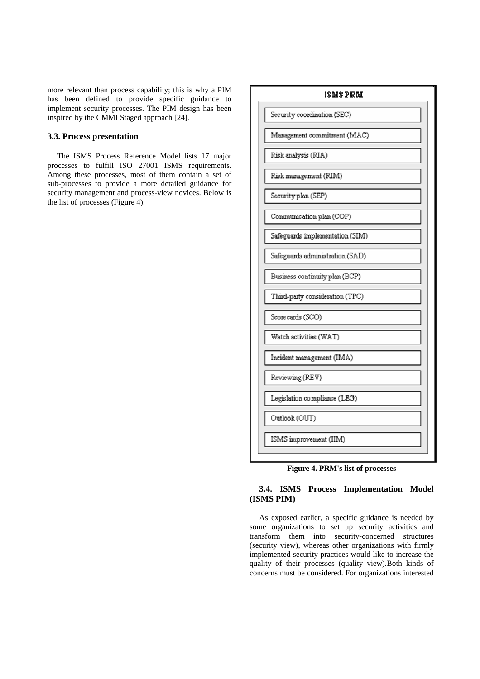more relevant than process capability; this is why a PIM has been defined to provide specific guidance to implement security processes. The PIM design has been inspired by the CMMI Staged approach [24].

# **3.3. Process presentation**

The ISMS Process Reference Model lists 17 major processes to fulfill ISO 27001 ISMS requirements. Among these processes, most of them contain a set of sub-processes to provide a more detailed guidance for security management and process-view novices. Below is the list of processes (Figure 4).

### **ISMSPRM**

Security coordination (SEC)

Management commitment (MAC)

Risk analysis (RIA)

Risk management (RIM)

Security plan (SEP)

Communication plan (COP)

Safeguards implementation (SIM)

Safeguards administration (SAD)

Business continuity plan (BCP)

Third-party consideration (TPC)

Scorecards (SCO)

Watch activities (WAT)

Incident management (IMA)

Reviewing (REV)

Legislation compliance (LEG)

Outlook (OUT)

ISMS improvement (IIM)

# **3.4. ISMS Process Implementation Model (ISMS PIM)**

As exposed earlier, a specific guidance is needed by some organizations to set up security activities and transform them into security-concerned structures (security view), whereas other organizations with firmly implemented security practices would like to increase the quality of their processes (quality view).Both kinds of concerns must be considered. For organizations interested

**Figure 4. PRM's list of processes**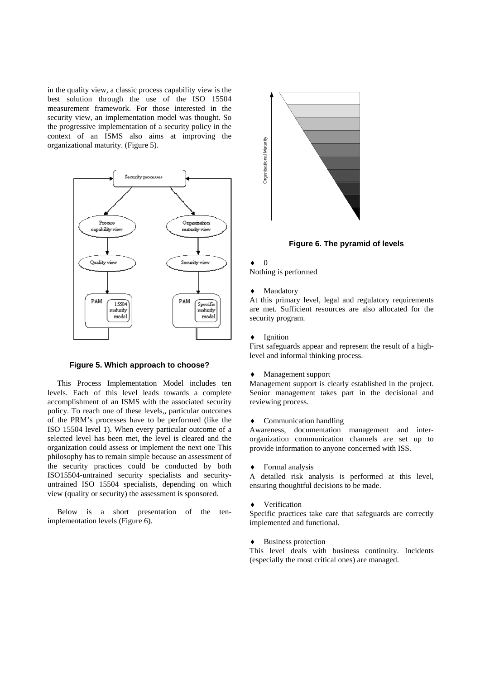in the quality view, a classic process capability view is the best solution through the use of the ISO 15504 measurement framework. For those interested in the security view, an implementation model was thought. So the progressive implementation of a security policy in the context of an ISMS also aims at improving the organizational maturity. (Figure 5).



### **Figure 5. Which approach to choose?**

This Process Implementation Model includes ten levels. Each of this level leads towards a complete accomplishment of an ISMS with the associated security policy. To reach one of these levels,, particular outcomes of the PRM's processes have to be performed (like the ISO 15504 level 1). When every particular outcome of a selected level has been met, the level is cleared and the organization could assess or implement the next one This philosophy has to remain simple because an assessment of the security practices could be conducted by both ISO15504-untrained security specialists and securityuntrained ISO 15504 specialists, depending on which view (quality or security) the assessment is sponsored.

Below is a short presentation of the tenimplementation levels (Figure 6).



**Figure 6. The pyramid of levels** 

#### $\bullet$  0

Nothing is performed

♦ Mandatory

At this primary level, legal and regulatory requirements are met. Sufficient resources are also allocated for the security program.

**Ignition** 

First safeguards appear and represent the result of a highlevel and informal thinking process.

♦ Management support

Management support is clearly established in the project. Senior management takes part in the decisional and reviewing process.

Communication handling

Awareness, documentation management and interorganization communication channels are set up to provide information to anyone concerned with ISS.

♦ Formal analysis

A detailed risk analysis is performed at this level, ensuring thoughtful decisions to be made.

Verification

Specific practices take care that safeguards are correctly implemented and functional.

♦ Business protection

This level deals with business continuity. Incidents (especially the most critical ones) are managed.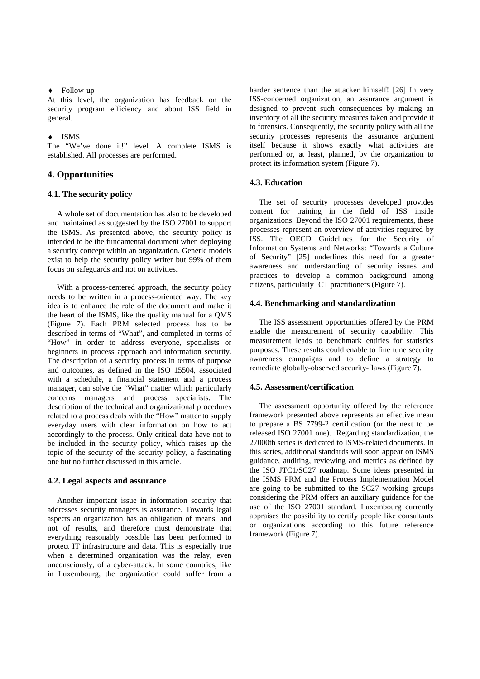#### ♦ Follow-up

At this level, the organization has feedback on the security program efficiency and about ISS field in general.

### ♦ ISMS

The "We've done it!" level. A complete ISMS is established. All processes are performed.

# **4. Opportunities**

### **4.1. The security policy**

A whole set of documentation has also to be developed and maintained as suggested by the ISO 27001 to support the ISMS. As presented above, the security policy is intended to be the fundamental document when deploying a security concept within an organization. Generic models exist to help the security policy writer but 99% of them focus on safeguards and not on activities.

With a process-centered approach, the security policy needs to be written in a process-oriented way. The key idea is to enhance the role of the document and make it the heart of the ISMS, like the quality manual for a QMS (Figure 7). Each PRM selected process has to be described in terms of "What", and completed in terms of "How" in order to address everyone, specialists or beginners in process approach and information security. The description of a security process in terms of purpose and outcomes, as defined in the ISO 15504, associated with a schedule, a financial statement and a process manager, can solve the "What" matter which particularly concerns managers and process specialists. The description of the technical and organizational procedures related to a process deals with the "How" matter to supply everyday users with clear information on how to act accordingly to the process. Only critical data have not to be included in the security policy, which raises up the topic of the security of the security policy, a fascinating one but no further discussed in this article.

#### **4.2. Legal aspects and assurance**

Another important issue in information security that addresses security managers is assurance. Towards legal aspects an organization has an obligation of means, and not of results, and therefore must demonstrate that everything reasonably possible has been performed to protect IT infrastructure and data. This is especially true when a determined organization was the relay, even unconsciously, of a cyber-attack. In some countries, like in Luxembourg, the organization could suffer from a harder sentence than the attacker himself! [26] In very ISS-concerned organization, an assurance argument is designed to prevent such consequences by making an inventory of all the security measures taken and provide it to forensics. Consequently, the security policy with all the security processes represents the assurance argument itself because it shows exactly what activities are performed or, at least, planned, by the organization to protect its information system (Figure 7).

### **4.3. Education**

The set of security processes developed provides content for training in the field of ISS inside organizations. Beyond the ISO 27001 requirements, these processes represent an overview of activities required by ISS. The OECD Guidelines for the Security of Information Systems and Networks: "Towards a Culture of Security" [25] underlines this need for a greater awareness and understanding of security issues and practices to develop a common background among citizens, particularly ICT practitioners (Figure 7).

# **4.4. Benchmarking and standardization**

The ISS assessment opportunities offered by the PRM enable the measurement of security capability. This measurement leads to benchmark entities for statistics purposes. These results could enable to fine tune security awareness campaigns and to define a strategy to remediate globally-observed security-flaws (Figure 7).

### **4.5. Assessment/certification**

The assessment opportunity offered by the reference framework presented above represents an effective mean to prepare a BS 7799-2 certification (or the next to be released ISO 27001 one). Regarding standardization, the 27000th series is dedicated to ISMS-related documents. In this series, additional standards will soon appear on ISMS guidance, auditing, reviewing and metrics as defined by the ISO JTC1/SC27 roadmap. Some ideas presented in the ISMS PRM and the Process Implementation Model are going to be submitted to the SC27 working groups considering the PRM offers an auxiliary guidance for the use of the ISO 27001 standard. Luxembourg currently appraises the possibility to certify people like consultants or organizations according to this future reference framework (Figure 7).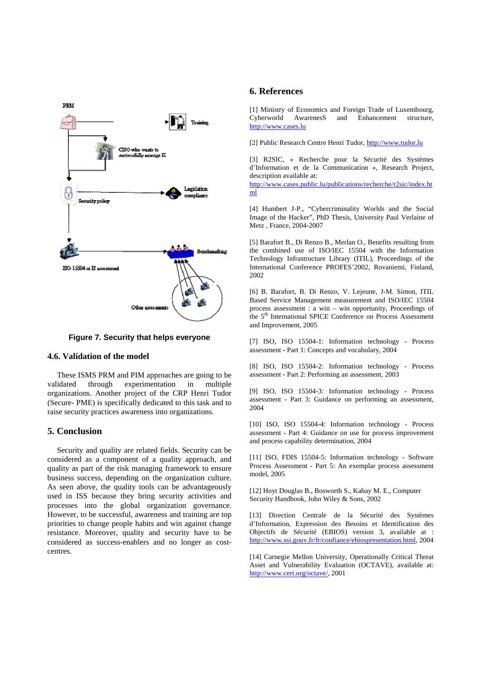

**Figure 7. Security that helps everyone** 

### **4.6. Validation of the model**

These ISMS PRM and PIM approaches are going to be validated through experimentation in multiple organizations. Another project of the CRP Henri Tudor (Secure- PME) is specifically dedicated to this task and to raise security practices awareness into organizations.

# **5. Conclusion**

Security and quality are related fields. Security can be considered as a component of a quality approach, and quality as part of the risk managing framework to ensure business success, depending on the organization culture. As seen above, the quality tools can be advantageously used in ISS because they bring security activities and processes into the global organization governance. However, to be successful, awareness and training are top priorities to change people habits and win against change resistance. Moreover, quality and security have to be considered as success-enablers and no longer as costcentres.

# **6. References**

[1] Ministry of Economics and Foreign Trade of Luxembourg, Cyberworld AwarenesS and Enhancement structure, http://www.cases.lu

[2] Public Research Centre Henri Tudor, http://www.tudor.lu

[3] R2SIC, « Recherche pour la Sécurité des Systèmes d'Information et de la Communication », Research Project, description available at:

http://www.cases.public.lu/publications/recherche/r2sic/index.ht ml

[4] Humbert J-P., "Cybercriminality Worlds and the Social Image of the Hacker", PhD Thesis, University Paul Verlaine of Metz , France, 2004-2007

[5] Barafort B., Di Renzo B., Merlan O., Benefits resulting from the combined use of ISO/IEC 15504 with the Information Technology Infrastructure Library (ITIL), Proceedings of the International Conference PROFES'2002, Rovaniemi, Finland, 2002

[6] B. Barafort, B. Di Renzo, V. Lejeune, J-M. Simon, ITIL Based Service Management measurement and ISO/IEC 15504 process assessment : a win – win opportunity, Proceedings of the 5<sup>th</sup> International SPICE Conference on Process Assessment and Improvement, 2005

[7] ISO, ISO 15504-1: Information technology - Process assessment - Part 1: Concepts and vocabulary, 2004

[8] ISO, ISO 15504-2: Information technology - Process assessment - Part 2: Performing an assessment, 2003

[9] ISO, ISO 15504-3: Information technology - Process assessment - Part 3: Guidance on performing an assessment, 2004

[10] ISO, ISO 15504-4: Information technology - Process assessment - Part 4: Guidance on use for process improvement and process capability determination, 2004

[11] ISO, FDIS 15504-5: Information technology - Software Process Assessment - Part 5: An exemplar process assessment model, 2005

[12] Hoyt Douglas B., Bosworth S., Kabay M. E., Computer Security Handbook, John Wiley & Sons, 2002

[13] Direction Centrale de la Sécurité des Systèmes d'Information, Expression des Besoins et Identification des Objectifs de Sécurité (EBIOS) version 3, available at : http://www.ssi.gouv.fr/fr/confiance/ebiospresentation.html, 2004

[14] Carnegie Mellon University, Operationally Critical Threat Asset and Vulnerability Evaluation (OCTAVE), available at: http://www.cert.org/octave/, 2001